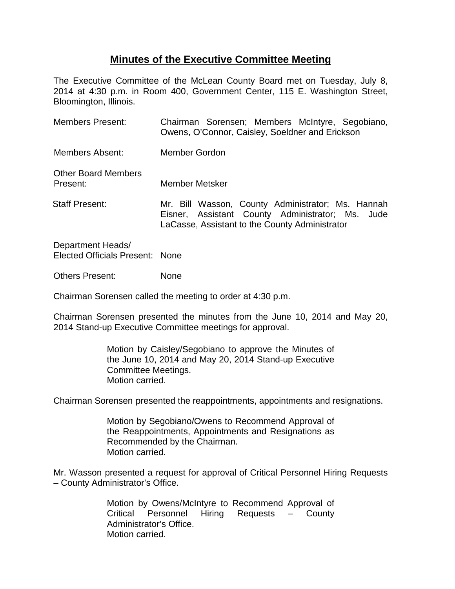## **Minutes of the Executive Committee Meeting**

The Executive Committee of the McLean County Board met on Tuesday, July 8, 2014 at 4:30 p.m. in Room 400, Government Center, 115 E. Washington Street, Bloomington, Illinois.

| <b>Members Present:</b>                | Chairman Sorensen; Members McIntyre, Segobiano,<br>Owens, O'Connor, Caisley, Soeldner and Erickson                                                      |
|----------------------------------------|---------------------------------------------------------------------------------------------------------------------------------------------------------|
| <b>Members Absent:</b>                 | Member Gordon                                                                                                                                           |
| <b>Other Board Members</b><br>Present: | Member Metsker                                                                                                                                          |
| <b>Staff Present:</b>                  | Mr. Bill Wasson, County Administrator; Ms. Hannah<br>Eisner, Assistant County Administrator; Ms. Jude<br>LaCasse, Assistant to the County Administrator |

Department Heads/ Elected Officials Present: None

Others Present: None

Chairman Sorensen called the meeting to order at 4:30 p.m.

Chairman Sorensen presented the minutes from the June 10, 2014 and May 20, 2014 Stand-up Executive Committee meetings for approval.

> Motion by Caisley/Segobiano to approve the Minutes of the June 10, 2014 and May 20, 2014 Stand-up Executive Committee Meetings. Motion carried.

Chairman Sorensen presented the reappointments, appointments and resignations.

Motion by Segobiano/Owens to Recommend Approval of the Reappointments, Appointments and Resignations as Recommended by the Chairman. Motion carried.

Mr. Wasson presented a request for approval of Critical Personnel Hiring Requests – County Administrator's Office.

> Motion by Owens/McIntyre to Recommend Approval of Critical Personnel Hiring Requests – County Administrator's Office. Motion carried.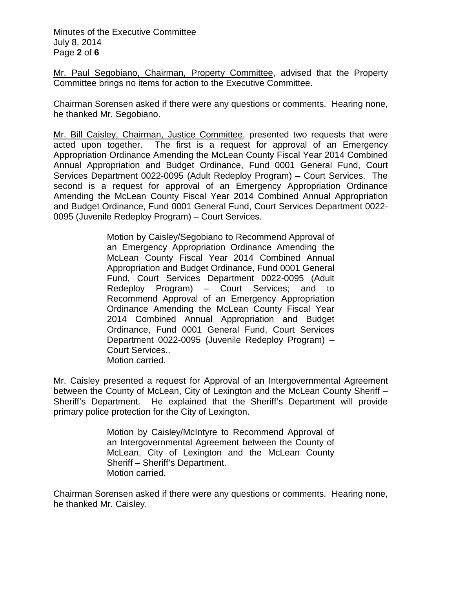Minutes of the Executive Committee July 8, 2014 Page **2** of **6**

Mr. Paul Segobiano, Chairman, Property Committee, advised that the Property Committee brings no items for action to the Executive Committee.

Chairman Sorensen asked if there were any questions or comments. Hearing none, he thanked Mr. Segobiano.

Mr. Bill Caisley, Chairman, Justice Committee, presented two requests that were acted upon together. The first is a request for approval of an Emergency Appropriation Ordinance Amending the McLean County Fiscal Year 2014 Combined Annual Appropriation and Budget Ordinance, Fund 0001 General Fund, Court Services Department 0022-0095 (Adult Redeploy Program) – Court Services. The second is a request for approval of an Emergency Appropriation Ordinance Amending the McLean County Fiscal Year 2014 Combined Annual Appropriation and Budget Ordinance, Fund 0001 General Fund, Court Services Department 0022- 0095 (Juvenile Redeploy Program) – Court Services.

> Motion by Caisley/Segobiano to Recommend Approval of an Emergency Appropriation Ordinance Amending the McLean County Fiscal Year 2014 Combined Annual Appropriation and Budget Ordinance, Fund 0001 General Fund, Court Services Department 0022-0095 (Adult Redeploy Program) – Court Services; and to Recommend Approval of an Emergency Appropriation Ordinance Amending the McLean County Fiscal Year 2014 Combined Annual Appropriation and Budget Ordinance, Fund 0001 General Fund, Court Services Department 0022-0095 (Juvenile Redeploy Program) – Court Services.. Motion carried.

Mr. Caisley presented a request for Approval of an Intergovernmental Agreement between the County of McLean, City of Lexington and the McLean County Sheriff – Sheriff's Department. He explained that the Sheriff's Department will provide primary police protection for the City of Lexington.

> Motion by Caisley/McIntyre to Recommend Approval of an Intergovernmental Agreement between the County of McLean, City of Lexington and the McLean County Sheriff – Sheriff's Department. Motion carried.

Chairman Sorensen asked if there were any questions or comments. Hearing none, he thanked Mr. Caisley.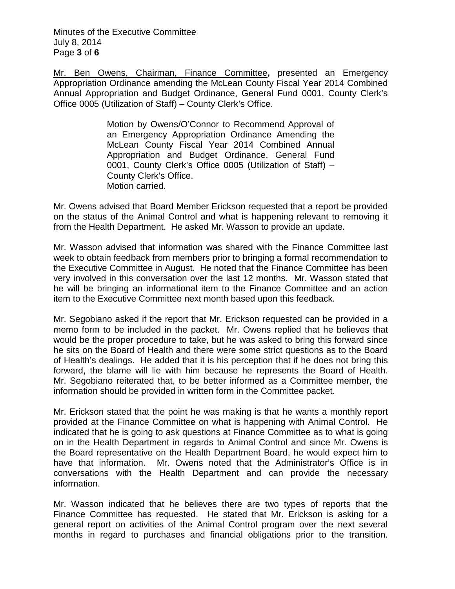Minutes of the Executive Committee July 8, 2014 Page **3** of **6**

Mr. Ben Owens, Chairman, Finance Committee**,** presented an Emergency Appropriation Ordinance amending the McLean County Fiscal Year 2014 Combined Annual Appropriation and Budget Ordinance, General Fund 0001, County Clerk's Office 0005 (Utilization of Staff) – County Clerk's Office.

> Motion by Owens/O'Connor to Recommend Approval of an Emergency Appropriation Ordinance Amending the McLean County Fiscal Year 2014 Combined Annual Appropriation and Budget Ordinance, General Fund 0001, County Clerk's Office 0005 (Utilization of Staff) – County Clerk's Office. Motion carried.

Mr. Owens advised that Board Member Erickson requested that a report be provided on the status of the Animal Control and what is happening relevant to removing it from the Health Department. He asked Mr. Wasson to provide an update.

Mr. Wasson advised that information was shared with the Finance Committee last week to obtain feedback from members prior to bringing a formal recommendation to the Executive Committee in August. He noted that the Finance Committee has been very involved in this conversation over the last 12 months. Mr. Wasson stated that he will be bringing an informational item to the Finance Committee and an action item to the Executive Committee next month based upon this feedback.

Mr. Segobiano asked if the report that Mr. Erickson requested can be provided in a memo form to be included in the packet. Mr. Owens replied that he believes that would be the proper procedure to take, but he was asked to bring this forward since he sits on the Board of Health and there were some strict questions as to the Board of Health's dealings. He added that it is his perception that if he does not bring this forward, the blame will lie with him because he represents the Board of Health. Mr. Segobiano reiterated that, to be better informed as a Committee member, the information should be provided in written form in the Committee packet.

Mr. Erickson stated that the point he was making is that he wants a monthly report provided at the Finance Committee on what is happening with Animal Control. He indicated that he is going to ask questions at Finance Committee as to what is going on in the Health Department in regards to Animal Control and since Mr. Owens is the Board representative on the Health Department Board, he would expect him to have that information. Mr. Owens noted that the Administrator's Office is in conversations with the Health Department and can provide the necessary information.

Mr. Wasson indicated that he believes there are two types of reports that the Finance Committee has requested. He stated that Mr. Erickson is asking for a general report on activities of the Animal Control program over the next several months in regard to purchases and financial obligations prior to the transition.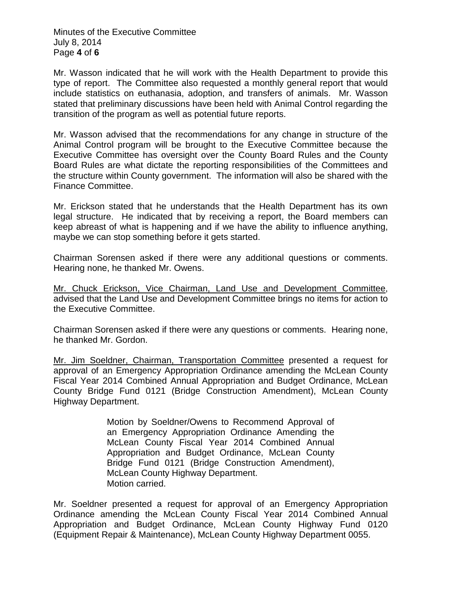Minutes of the Executive Committee July 8, 2014 Page **4** of **6**

Mr. Wasson indicated that he will work with the Health Department to provide this type of report. The Committee also requested a monthly general report that would include statistics on euthanasia, adoption, and transfers of animals. Mr. Wasson stated that preliminary discussions have been held with Animal Control regarding the transition of the program as well as potential future reports.

Mr. Wasson advised that the recommendations for any change in structure of the Animal Control program will be brought to the Executive Committee because the Executive Committee has oversight over the County Board Rules and the County Board Rules are what dictate the reporting responsibilities of the Committees and the structure within County government. The information will also be shared with the Finance Committee.

Mr. Erickson stated that he understands that the Health Department has its own legal structure. He indicated that by receiving a report, the Board members can keep abreast of what is happening and if we have the ability to influence anything, maybe we can stop something before it gets started.

Chairman Sorensen asked if there were any additional questions or comments. Hearing none, he thanked Mr. Owens.

Mr. Chuck Erickson, Vice Chairman, Land Use and Development Committee, advised that the Land Use and Development Committee brings no items for action to the Executive Committee.

Chairman Sorensen asked if there were any questions or comments. Hearing none, he thanked Mr. Gordon.

Mr. Jim Soeldner, Chairman, Transportation Committee presented a request for approval of an Emergency Appropriation Ordinance amending the McLean County Fiscal Year 2014 Combined Annual Appropriation and Budget Ordinance, McLean County Bridge Fund 0121 (Bridge Construction Amendment), McLean County Highway Department.

> Motion by Soeldner/Owens to Recommend Approval of an Emergency Appropriation Ordinance Amending the McLean County Fiscal Year 2014 Combined Annual Appropriation and Budget Ordinance, McLean County Bridge Fund 0121 (Bridge Construction Amendment), McLean County Highway Department. Motion carried.

Mr. Soeldner presented a request for approval of an Emergency Appropriation Ordinance amending the McLean County Fiscal Year 2014 Combined Annual Appropriation and Budget Ordinance, McLean County Highway Fund 0120 (Equipment Repair & Maintenance), McLean County Highway Department 0055.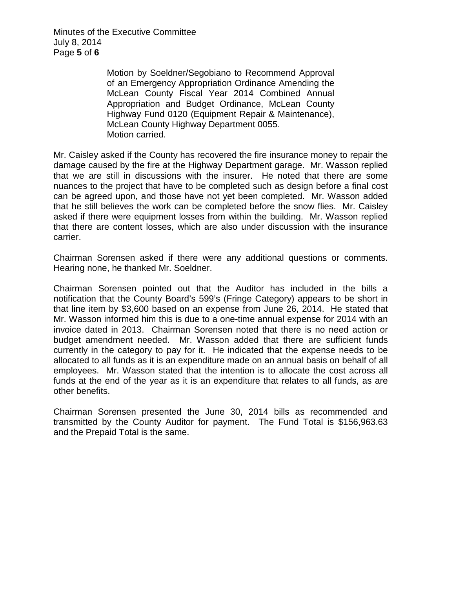Minutes of the Executive Committee July 8, 2014 Page **5** of **6**

> Motion by Soeldner/Segobiano to Recommend Approval of an Emergency Appropriation Ordinance Amending the McLean County Fiscal Year 2014 Combined Annual Appropriation and Budget Ordinance, McLean County Highway Fund 0120 (Equipment Repair & Maintenance), McLean County Highway Department 0055. Motion carried.

Mr. Caisley asked if the County has recovered the fire insurance money to repair the damage caused by the fire at the Highway Department garage. Mr. Wasson replied that we are still in discussions with the insurer. He noted that there are some nuances to the project that have to be completed such as design before a final cost can be agreed upon, and those have not yet been completed. Mr. Wasson added that he still believes the work can be completed before the snow flies. Mr. Caisley asked if there were equipment losses from within the building. Mr. Wasson replied that there are content losses, which are also under discussion with the insurance carrier.

Chairman Sorensen asked if there were any additional questions or comments. Hearing none, he thanked Mr. Soeldner.

Chairman Sorensen pointed out that the Auditor has included in the bills a notification that the County Board's 599's (Fringe Category) appears to be short in that line item by \$3,600 based on an expense from June 26, 2014. He stated that Mr. Wasson informed him this is due to a one-time annual expense for 2014 with an invoice dated in 2013. Chairman Sorensen noted that there is no need action or budget amendment needed. Mr. Wasson added that there are sufficient funds currently in the category to pay for it. He indicated that the expense needs to be allocated to all funds as it is an expenditure made on an annual basis on behalf of all employees. Mr. Wasson stated that the intention is to allocate the cost across all funds at the end of the year as it is an expenditure that relates to all funds, as are other benefits.

Chairman Sorensen presented the June 30, 2014 bills as recommended and transmitted by the County Auditor for payment. The Fund Total is \$156,963.63 and the Prepaid Total is the same.